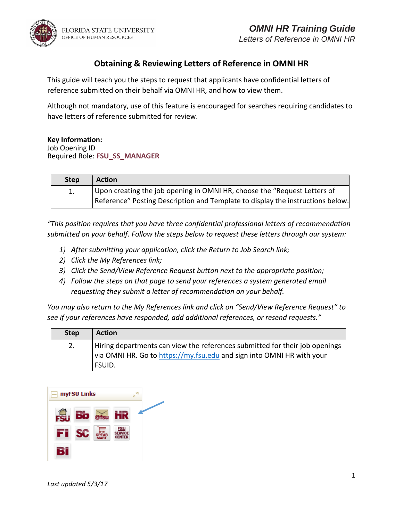



## **Obtaining & Reviewing Letters of Reference in OMNI HR**

This guide will teach you the steps to request that applicants have confidential letters of reference submitted on their behalf via OMNI HR, and how to view them.

Although not mandatory, use of this feature is encouraged for searches requiring candidates to have letters of reference submitted for review.

### **Key Information:**

Job Opening ID Required Role: **FSU\_SS\_MANAGER**

| <b>Step</b> | Action                                                                         |
|-------------|--------------------------------------------------------------------------------|
|             | Upon creating the job opening in OMNI HR, choose the "Request Letters of       |
|             | Reference" Posting Description and Template to display the instructions below. |

*"This position requires that you have three confidential professional letters of recommendation submitted on your behalf. Follow the steps below to request these letters through our system:* 

- *1) After submitting your application, click the Return to Job Search link;*
- *2) Click the My References link;*
- *3) Click the Send/View Reference Request button next to the appropriate position;*
- *4) Follow the steps on that page to send your references a system generated email requesting they submit a letter of recommendation on your behalf.*

*You may also return to the My References link and click on "Send/View Reference Request" to see if your references have responded, add additional references, or resend requests."*

| <b>Step</b> | <b>Action</b>                                                                                                                                                  |
|-------------|----------------------------------------------------------------------------------------------------------------------------------------------------------------|
| 2.          | Hiring departments can view the references submitted for their job openings<br>via OMNI HR. Go to https://my.fsu.edu and sign into OMNI HR with your<br>FSUID. |

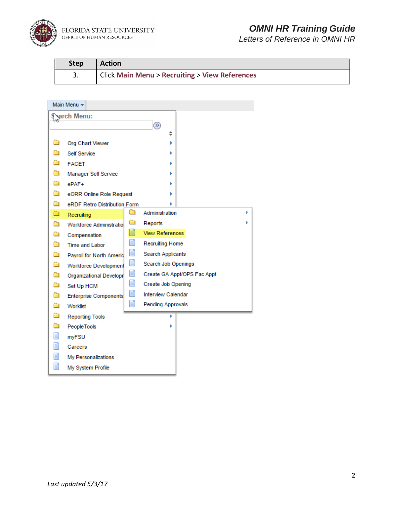

FLORIDA STATE UNIVERSITY<br>office of human resources

# *OMNI HR Training Guide*

*Letters of Reference in OMNI HR*

| <b>Step</b> | <b>Action</b>                                  |
|-------------|------------------------------------------------|
|             | Click Main Menu > Recruiting > View References |

|             | Main Menu -         |                                 |        |                           |                             |  |  |  |
|-------------|---------------------|---------------------------------|--------|---------------------------|-----------------------------|--|--|--|
| Sarch Menu: |                     |                                 |        |                           |                             |  |  |  |
|             | $\circledR$         |                                 |        |                           |                             |  |  |  |
|             |                     |                                 |        | ÷                         |                             |  |  |  |
| □           |                     | Org Chart Viewer                |        |                           |                             |  |  |  |
| a           | <b>Self Service</b> |                                 |        |                           |                             |  |  |  |
| n           | <b>FACET</b>        |                                 |        |                           |                             |  |  |  |
| Ò           |                     | <b>Manager Self Service</b>     |        |                           |                             |  |  |  |
| Ō           | ePAF+               |                                 |        |                           |                             |  |  |  |
| Ò           |                     | eORR Online Role Request        |        |                           |                             |  |  |  |
| Ò<br>۵      |                     | eRDF Retro Distribution Form    | a      | Administration            | ь                           |  |  |  |
|             | Recruiting          |                                 | $\Box$ | Reports                   | ь                           |  |  |  |
| Ò           |                     | Workforce Administratio         | E      | <b>View References</b>    |                             |  |  |  |
| Œ<br>Ò      | Compensation        |                                 | F      | <b>Recruiting Home</b>    |                             |  |  |  |
| Ò           |                     | Time and Labor                  | E      | <b>Search Applicants</b>  |                             |  |  |  |
| Ò           |                     | <b>Payroll for North Amerid</b> | E      | Search Job Openings       |                             |  |  |  |
| Ò           |                     | <b>Workforce Development</b>    | E      |                           | Create GA Appt/OPS Fac Appt |  |  |  |
| Œ           |                     | Organizational Developr         | F      | Create Job Opening        |                             |  |  |  |
| Ò           | Set Up HCM          |                                 | Ħ      | <b>Interview Calendar</b> |                             |  |  |  |
| Ò           |                     | Enterprise Components           | E      | <b>Pending Approvals</b>  |                             |  |  |  |
| Ò           | Worklist            |                                 |        | ۶                         |                             |  |  |  |
| a           |                     | <b>Reporting Tools</b>          |        | Þ                         |                             |  |  |  |
| F           | PeopleTools         |                                 |        |                           |                             |  |  |  |
| E           | myFSU               |                                 |        |                           |                             |  |  |  |
| F           | Careers             |                                 |        |                           |                             |  |  |  |
| E           |                     | My Personalizations             |        |                           |                             |  |  |  |
|             |                     | My System Profile               |        |                           |                             |  |  |  |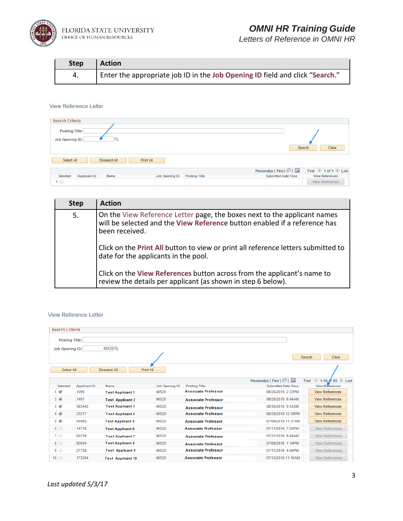

*Letters of Reference in OMNI HR*

| <b>Step</b> | <b>Action</b>                                                                |
|-------------|------------------------------------------------------------------------------|
| 4.          | Enter the appropriate job ID in the Job Opening ID field and click "Search." |

#### View Reference Letter

| <b>Posting Title:</b><br>Job Opening ID: |              |                |                      |                            | Search<br>Clear                               |
|------------------------------------------|--------------|----------------|----------------------|----------------------------|-----------------------------------------------|
| Select All                               | Deselect All | Print All      |                      |                            |                                               |
|                                          |              |                |                      | Personalize   Find   2     |                                               |
| Applicant ID<br>Selected                 | Name         | Job Opening ID | <b>Posting Title</b> | <b>Submitted Date Time</b> | First 1 1 of 1 Last<br><b>View References</b> |

| <b>Step</b> | <b>Action</b>                                                                                                                                                           |
|-------------|-------------------------------------------------------------------------------------------------------------------------------------------------------------------------|
| 5.          | On the View Reference Letter page, the boxes next to the applicant names<br>will be selected and the View Reference button enabled if a reference has<br>been received. |
|             | Click on the Print All button to view or print all reference letters submitted to<br>date for the applicants in the pool.                                               |
|             | Click on the View References button across from the applicant's name to<br>review the details per applicant (as shown in step 6 below).                                 |

### View Reference Letter

| <b>Search Criteria</b>  |                     |                          |                |                            |                            |                                                |
|-------------------------|---------------------|--------------------------|----------------|----------------------------|----------------------------|------------------------------------------------|
| <b>Posting Title:</b>   |                     |                          |                |                            |                            |                                                |
| <b>Job Opening ID:</b>  |                     | 40520Q                   |                |                            |                            |                                                |
|                         |                     |                          |                |                            |                            | Clear<br><b>Search</b>                         |
|                         |                     |                          |                |                            |                            |                                                |
| Select All              |                     | Deselect All             | Print All      |                            |                            |                                                |
|                         |                     |                          |                |                            | Personalize   Find   2     | $\bigcirc$ 1-65 of 65 $\bigcirc$ Last<br>First |
| Selected                | <b>Applicant ID</b> | <b>Name</b>              | Job Opening ID | <b>Posting Title</b>       | <b>Submitted Date Time</b> | <b>View References</b>                         |
| $\overline{\mathbf{v}}$ | 1095                | <b>Test Applicant 1</b>  | 40520          | <b>Associate Professor</b> | 08/26/2016 2:22PM          | <b>View References</b>                         |
| $2\sqrt{2}$             | 1401                | <b>Test Applicant 2</b>  | 40520          | <b>Associate Professor</b> | 08/26/2016 8:46AM          | <b>View References</b>                         |
| $3\blacktriangleright$  | 583443              | <b>Test Applicant 3</b>  | 40520          | <b>Associate Professor</b> | 08/30/2016 9:42AM          | <b>View References</b>                         |
| $4 \times$              | 23217               | <b>Test Applicant 4</b>  | 40520          | <b>Associate Professor</b> | 08/29/2016 12:10PM         | <b>View References</b>                         |
| $5\sqrt{ }$             | 40485               | <b>Test Applicant 5</b>  | 40520          | <b>Associate Professor</b> | 07/08/2016 11:27AM         | <b>View References</b>                         |
| 6                       | 14710               | <b>Test Applicant 6</b>  | 40520          | <b>Associate Professor</b> | 07/11/2016 7:55PM          | <b>View References</b>                         |
| 7 □                     | 60238               | <b>Test Applicant 7</b>  | 40520          | <b>Associate Professor</b> | 07/12/2016 8:48AM          | <b>View References</b>                         |
| 8                       | 82045               | <b>Test Applicant 8</b>  | 40520          | <b>Associate Professor</b> | 07/08/2016 1:10PM          | <b>View References</b>                         |
| $9$ $\Box$              | 27736               | <b>Test Applicant 9</b>  | 40520          | <b>Associate Professor</b> | 07/11/2016 4:06PM          | <b>View References</b>                         |
| $10$ $\Box$             | 173354              | <b>Test Applicant 10</b> | 40520          | <b>Associate Professor</b> | 07/13/2016 11:15AM         | <b>View References</b>                         |